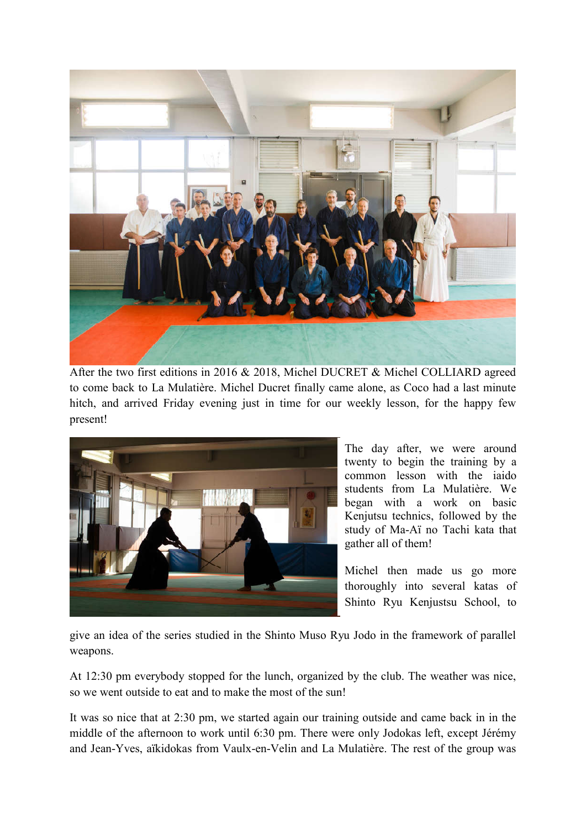

After the two first editions in 2016 & 2018, Michel DUCRET & Michel COLLIARD agreed to come back to La Mulatière. Michel Ducret finally came alone, as Coco had a last minute hitch, and arrived Friday evening just in time for our weekly lesson, for the happy few present!



The day after, we were around twenty to begin the training by a common lesson with the iaido students from La Mulatière. We began with a work on basic Kenjutsu technics, followed by the study of Ma-Aï no Tachi kata that gather all of them!

Michel then made us go more thoroughly into several katas of Shinto Ryu Kenjustsu School, to

give an idea of the series studied in the Shinto Muso Ryu Jodo in the framework of parallel weapons.

At 12:30 pm everybody stopped for the lunch, organized by the club. The weather was nice, so we went outside to eat and to make the most of the sun!

It was so nice that at 2:30 pm, we started again our training outside and came back in in the middle of the afternoon to work until 6:30 pm. There were only Jodokas left, except Jérémy and Jean-Yves, aïkidokas from Vaulx-en-Velin and La Mulatière. The rest of the group was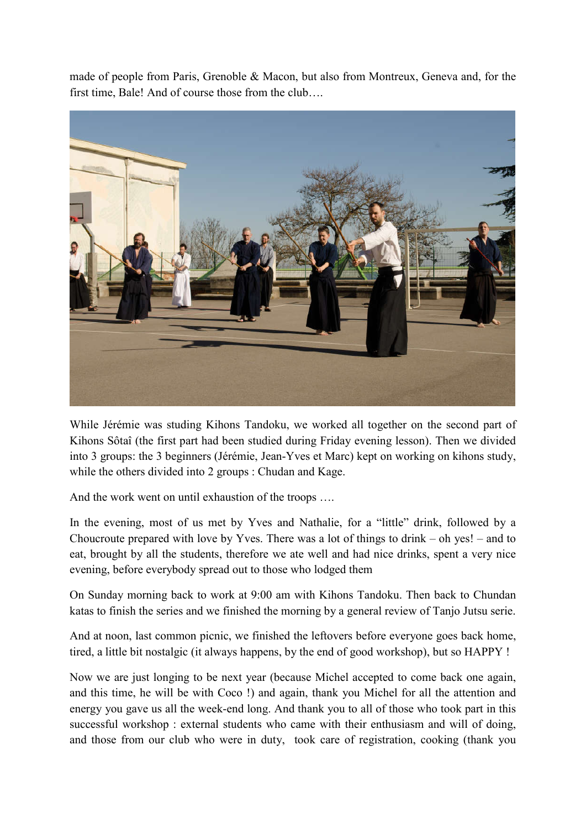made of people from Paris, Grenoble & Macon, but also from Montreux, Geneva and, for the first time, Bale! And of course those from the club….



While Jérémie was studing Kihons Tandoku, we worked all together on the second part of Kihons Sôtaî (the first part had been studied during Friday evening lesson). Then we divided into 3 groups: the 3 beginners (Jérémie, Jean-Yves et Marc) kept on working on kihons study, while the others divided into 2 groups : Chudan and Kage.

And the work went on until exhaustion of the troops ….

In the evening, most of us met by Yves and Nathalie, for a "little" drink, followed by a Choucroute prepared with love by Yves. There was a lot of things to drink – oh yes! – and to eat, brought by all the students, therefore we ate well and had nice drinks, spent a very nice evening, before everybody spread out to those who lodged them

On Sunday morning back to work at 9:00 am with Kihons Tandoku. Then back to Chundan katas to finish the series and we finished the morning by a general review of Tanjo Jutsu serie.

And at noon, last common picnic, we finished the leftovers before everyone goes back home, tired, a little bit nostalgic (it always happens, by the end of good workshop), but so HAPPY !

Now we are just longing to be next year (because Michel accepted to come back one again, and this time, he will be with Coco !) and again, thank you Michel for all the attention and energy you gave us all the week-end long. And thank you to all of those who took part in this successful workshop : external students who came with their enthusiasm and will of doing, and those from our club who were in duty, took care of registration, cooking (thank you